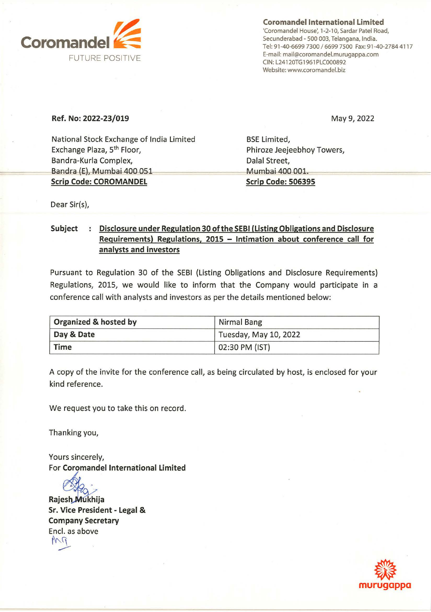

**Coromandel International Limited**  'Coromandel House', 1-2-10, Sardar Patel Road, Secunderabad - 500 003, Telangana, India. Tel: 91-40-6699 7300 / 6699 7500 Fax: 91-40-2784 4117 E-mail: mail@coromandel.murugappa.com CIN: L24120TG1961PLC000892 Website: www.coromandel.biz

#### **Ref. No: 2022-23/019**

May 9, 2022

National Stock Exchange of India Limited Exchange Plaza, 5th Floor, Bandra-Kurla Complex, Bandra (E), Mumbai 400 051 **Scrip Code: COROMANDEL** 

BSE Limited, Phiroze Jeejeebhoy Towers, Dalal Street, Mumbai 400 001. **Scrip Code: 506395** 

Dear Sir(s),

### Subject : Disclosure under Regulation 30 of the SEBI (Listing Obligations and Disclosure **Requirements) Regulations, 2015 - Intimation about conference call for analysts and investors**

Pursuant to Regulation 30 of the SEBI (Listing Obligations and Disclosure Requirements) Regulations, 2015, we would like to inform that the Company would participate in a conference call with analysts and investors as per the details mentioned below:

| Organized & hosted by | Nirmal Bang           |  |
|-----------------------|-----------------------|--|
| Day & Date            | Tuesday, May 10, 2022 |  |
| Time                  | 02:30 PM (IST)        |  |

A copy of the invite for the conference call, as being circulated by host, is enclosed for your kind reference.

We request you to take this on record.

Thanking you,

Yours sincerely, For **Coromandel International Limited** 

Rajesh Mukhija **Sr. Vice President - Legal** & **Company Secretary**  Encl. as above  $\overline{\phantom{a}}$